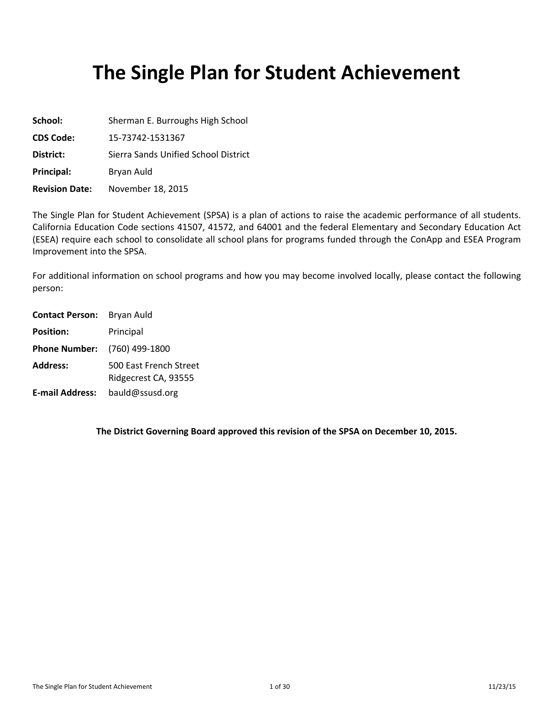# **The Single Plan for Student Achievement**

| School:               | Sherman E. Burroughs High School     |
|-----------------------|--------------------------------------|
| <b>CDS Code:</b>      | 15-73742-1531367                     |
| District:             | Sierra Sands Unified School District |
| Principal:            | Bryan Auld                           |
| <b>Revision Date:</b> | November 18, 2015                    |

The Single Plan for Student Achievement (SPSA) is a plan of actions to raise the academic performance of all students. California Education Code sections 41507, 41572, and 64001 and the federal Elementary and Secondary Education Act (ESEA) require each school to consolidate all school plans for programs funded through the ConApp and ESEA Program Improvement into the SPSA.

For additional information on school programs and how you may become involved locally, please contact the following person:

| <b>Contact Person:</b> Bryan Auld   |                                                |
|-------------------------------------|------------------------------------------------|
| <b>Position:</b>                    | Principal                                      |
| <b>Phone Number:</b> (760) 499-1800 |                                                |
| <b>Address:</b>                     | 500 East French Street<br>Ridgecrest CA, 93555 |
| <b>E-mail Address:</b>              | bauld@ssusd.org                                |

**The District Governing Board approved this revision of the SPSA on December 10, 2015.**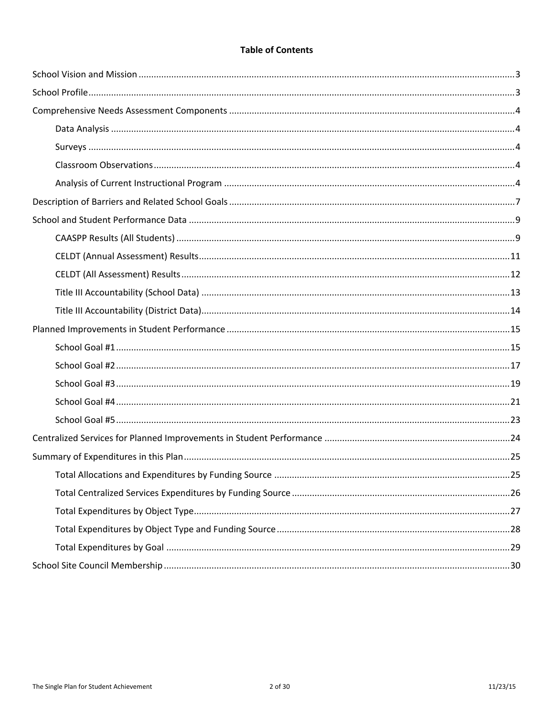## **Table of Contents**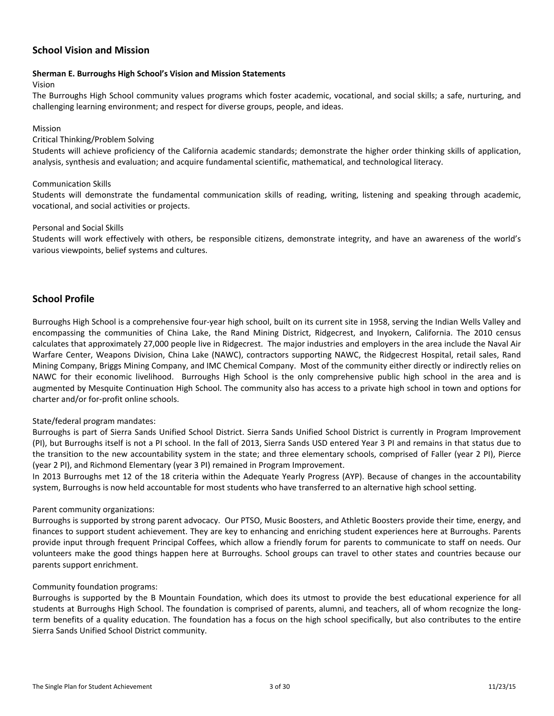## <span id="page-2-0"></span>**School Vision and Mission**

#### **Sherman E. Burroughs High School's Vision and Mission Statements**

#### Vision

The Burroughs High School community values programs which foster academic, vocational, and social skills; a safe, nurturing, and challenging learning environment; and respect for diverse groups, people, and ideas.

#### Mission

#### Critical Thinking/Problem Solving

Students will achieve proficiency of the California academic standards; demonstrate the higher order thinking skills of application, analysis, synthesis and evaluation; and acquire fundamental scientific, mathematical, and technological literacy.

#### Communication Skills

Students will demonstrate the fundamental communication skills of reading, writing, listening and speaking through academic, vocational, and social activities or projects.

#### Personal and Social Skills

Students will work effectively with others, be responsible citizens, demonstrate integrity, and have an awareness of the world's various viewpoints, belief systems and cultures.

## <span id="page-2-1"></span>**School Profile**

Burroughs High School is a comprehensive four-year high school, built on its current site in 1958, serving the Indian Wells Valley and encompassing the communities of China Lake, the Rand Mining District, Ridgecrest, and Inyokern, California. The 2010 census calculates that approximately 27,000 people live in Ridgecrest. The major industries and employers in the area include the Naval Air Warfare Center, Weapons Division, China Lake (NAWC), contractors supporting NAWC, the Ridgecrest Hospital, retail sales, Rand Mining Company, Briggs Mining Company, and IMC Chemical Company. Most of the community either directly or indirectly relies on NAWC for their economic livelihood. Burroughs High School is the only comprehensive public high school in the area and is augmented by Mesquite Continuation High School. The community also has access to a private high school in town and options for charter and/or for-profit online schools.

#### State/federal program mandates:

Burroughs is part of Sierra Sands Unified School District. Sierra Sands Unified School District is currently in Program Improvement (PI), but Burroughs itself is not a PI school. In the fall of 2013, Sierra Sands USD entered Year 3 PI and remains in that status due to the transition to the new accountability system in the state; and three elementary schools, comprised of Faller (year 2 PI), Pierce (year 2 PI), and Richmond Elementary (year 3 PI) remained in Program Improvement.

In 2013 Burroughs met 12 of the 18 criteria within the Adequate Yearly Progress (AYP). Because of changes in the accountability system, Burroughs is now held accountable for most students who have transferred to an alternative high school setting.

#### Parent community organizations:

Burroughs is supported by strong parent advocacy. Our PTSO, Music Boosters, and Athletic Boosters provide their time, energy, and finances to support student achievement. They are key to enhancing and enriching student experiences here at Burroughs. Parents provide input through frequent Principal Coffees, which allow a friendly forum for parents to communicate to staff on needs. Our volunteers make the good things happen here at Burroughs. School groups can travel to other states and countries because our parents support enrichment.

#### Community foundation programs:

Burroughs is supported by the B Mountain Foundation, which does its utmost to provide the best educational experience for all students at Burroughs High School. The foundation is comprised of parents, alumni, and teachers, all of whom recognize the longterm benefits of a quality education. The foundation has a focus on the high school specifically, but also contributes to the entire Sierra Sands Unified School District community.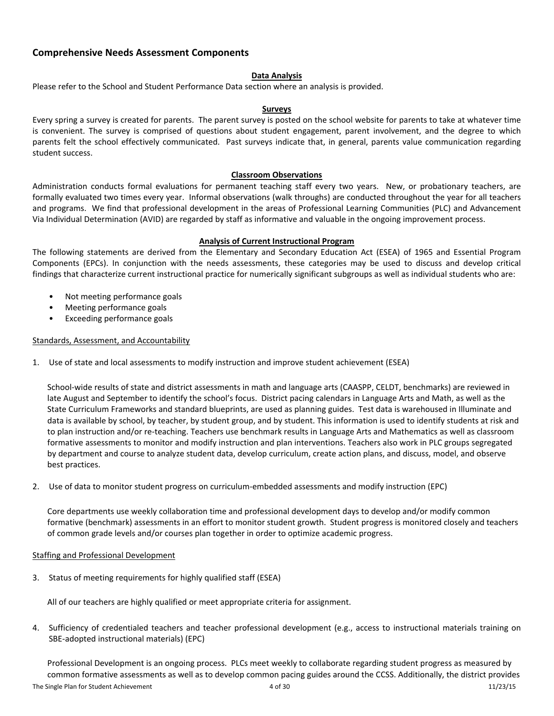## <span id="page-3-0"></span>**Comprehensive Needs Assessment Components**

#### <span id="page-3-1"></span>**Data Analysis**

Please refer to the School and Student Performance Data section where an analysis is provided.

#### <span id="page-3-2"></span>**Surveys**

Every spring a survey is created for parents. The parent survey is posted on the school website for parents to take at whatever time is convenient. The survey is comprised of questions about student engagement, parent involvement, and the degree to which parents felt the school effectively communicated. Past surveys indicate that, in general, parents value communication regarding student success.

#### <span id="page-3-3"></span>**Classroom Observations**

Administration conducts formal evaluations for permanent teaching staff every two years. New, or probationary teachers, are formally evaluated two times every year. Informal observations (walk throughs) are conducted throughout the year for all teachers and programs. We find that professional development in the areas of Professional Learning Communities (PLC) and Advancement Via Individual Determination (AVID) are regarded by staff as informative and valuable in the ongoing improvement process.

#### <span id="page-3-4"></span>**Analysis of Current Instructional Program**

The following statements are derived from the Elementary and Secondary Education Act (ESEA) of 1965 and Essential Program Components (EPCs). In conjunction with the needs assessments, these categories may be used to discuss and develop critical findings that characterize current instructional practice for numerically significant subgroups as well as individual students who are:

- Not meeting performance goals
- Meeting performance goals
- Exceeding performance goals

#### Standards, Assessment, and Accountability

1. Use of state and local assessments to modify instruction and improve student achievement (ESEA)

School-wide results of state and district assessments in math and language arts (CAASPP, CELDT, benchmarks) are reviewed in late August and September to identify the school's focus. District pacing calendars in Language Arts and Math, as well as the State Curriculum Frameworks and standard blueprints, are used as planning guides. Test data is warehoused in Illuminate and data is available by school, by teacher, by student group, and by student. This information is used to identify students at risk and to plan instruction and/or re-teaching. Teachers use benchmark results in Language Arts and Mathematics as well as classroom formative assessments to monitor and modify instruction and plan interventions. Teachers also work in PLC groups segregated by department and course to analyze student data, develop curriculum, create action plans, and discuss, model, and observe best practices.

2. Use of data to monitor student progress on curriculum-embedded assessments and modify instruction (EPC)

Core departments use weekly collaboration time and professional development days to develop and/or modify common formative (benchmark) assessments in an effort to monitor student growth. Student progress is monitored closely and teachers of common grade levels and/or courses plan together in order to optimize academic progress.

#### Staffing and Professional Development

3. Status of meeting requirements for highly qualified staff (ESEA)

All of our teachers are highly qualified or meet appropriate criteria for assignment.

4. Sufficiency of credentialed teachers and teacher professional development (e.g., access to instructional materials training on SBE-adopted instructional materials) (EPC)

The Single Plan for Student Achievement 4 of 30 11/23/15 Professional Development is an ongoing process. PLCs meet weekly to collaborate regarding student progress as measured by common formative assessments as well as to develop common pacing guides around the CCSS. Additionally, the district provides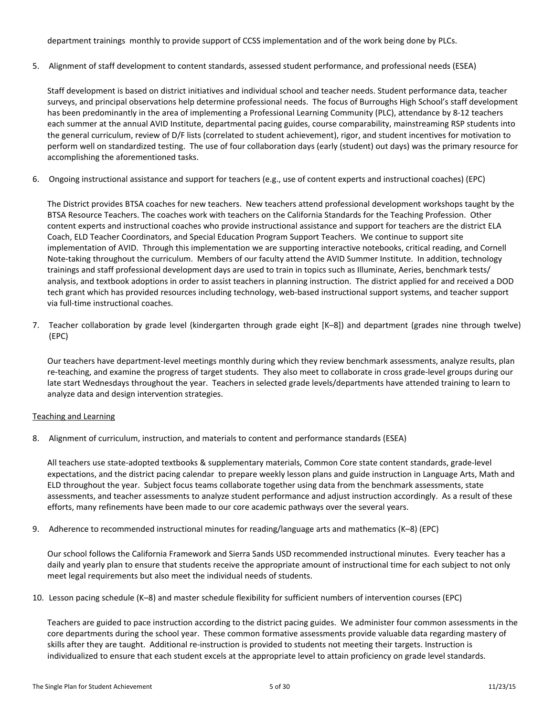department trainings monthly to provide support of CCSS implementation and of the work being done by PLCs.

5. Alignment of staff development to content standards, assessed student performance, and professional needs (ESEA)

Staff development is based on district initiatives and individual school and teacher needs. Student performance data, teacher surveys, and principal observations help determine professional needs. The focus of Burroughs High School's staff development has been predominantly in the area of implementing a Professional Learning Community (PLC), attendance by 8-12 teachers each summer at the annual AVID Institute, departmental pacing guides, course comparability, mainstreaming RSP students into the general curriculum, review of D/F lists (correlated to student achievement), rigor, and student incentives for motivation to perform well on standardized testing. The use of four collaboration days (early (student) out days) was the primary resource for accomplishing the aforementioned tasks.

6. Ongoing instructional assistance and support for teachers (e.g., use of content experts and instructional coaches) (EPC)

The District provides BTSA coaches for new teachers. New teachers attend professional development workshops taught by the BTSA Resource Teachers. The coaches work with teachers on the California Standards for the Teaching Profession. Other content experts and instructional coaches who provide instructional assistance and support for teachers are the district ELA Coach, ELD Teacher Coordinators, and Special Education Program Support Teachers. We continue to support site implementation of AVID. Through this implementation we are supporting interactive notebooks, critical reading, and Cornell Note-taking throughout the curriculum. Members of our faculty attend the AVID Summer Institute. In addition, technology trainings and staff professional development days are used to train in topics such as Illuminate, Aeries, benchmark tests/ analysis, and textbook adoptions in order to assist teachers in planning instruction. The district applied for and received a DOD tech grant which has provided resources including technology, web-based instructional support systems, and teacher support via full-time instructional coaches.

7. Teacher collaboration by grade level (kindergarten through grade eight [K–8]) and department (grades nine through twelve) (EPC)

Our teachers have department-level meetings monthly during which they review benchmark assessments, analyze results, plan re-teaching, and examine the progress of target students. They also meet to collaborate in cross grade-level groups during our late start Wednesdays throughout the year. Teachers in selected grade levels/departments have attended training to learn to analyze data and design intervention strategies.

#### Teaching and Learning

8. Alignment of curriculum, instruction, and materials to content and performance standards (ESEA)

All teachers use state-adopted textbooks & supplementary materials, Common Core state content standards, grade-level expectations, and the district pacing calendar to prepare weekly lesson plans and guide instruction in Language Arts, Math and ELD throughout the year. Subject focus teams collaborate together using data from the benchmark assessments, state assessments, and teacher assessments to analyze student performance and adjust instruction accordingly. As a result of these efforts, many refinements have been made to our core academic pathways over the several years.

9. Adherence to recommended instructional minutes for reading/language arts and mathematics (K–8) (EPC)

Our school follows the California Framework and Sierra Sands USD recommended instructional minutes. Every teacher has a daily and yearly plan to ensure that students receive the appropriate amount of instructional time for each subject to not only meet legal requirements but also meet the individual needs of students.

10. Lesson pacing schedule (K–8) and master schedule flexibility for sufficient numbers of intervention courses (EPC)

Teachers are guided to pace instruction according to the district pacing guides. We administer four common assessments in the core departments during the school year. These common formative assessments provide valuable data regarding mastery of skills after they are taught. Additional re-instruction is provided to students not meeting their targets. Instruction is individualized to ensure that each student excels at the appropriate level to attain proficiency on grade level standards.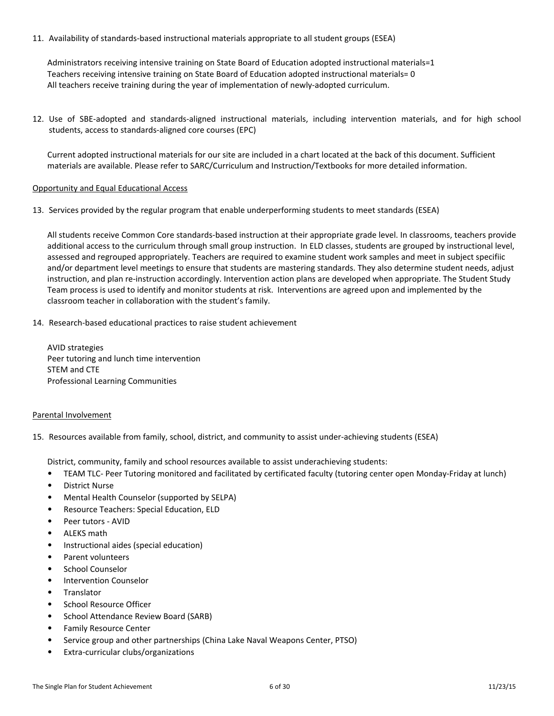11. Availability of standards-based instructional materials appropriate to all student groups (ESEA)

Administrators receiving intensive training on State Board of Education adopted instructional materials=1 Teachers receiving intensive training on State Board of Education adopted instructional materials= 0 All teachers receive training during the year of implementation of newly-adopted curriculum.

12. Use of SBE-adopted and standards-aligned instructional materials, including intervention materials, and for high school students, access to standards-aligned core courses (EPC)

Current adopted instructional materials for our site are included in a chart located at the back of this document. Sufficient materials are available. Please refer to SARC/Curriculum and Instruction/Textbooks for more detailed information.

#### Opportunity and Equal Educational Access

13. Services provided by the regular program that enable underperforming students to meet standards (ESEA)

All students receive Common Core standards-based instruction at their appropriate grade level. In classrooms, teachers provide additional access to the curriculum through small group instruction. In ELD classes, students are grouped by instructional level, assessed and regrouped appropriately. Teachers are required to examine student work samples and meet in subject specifiic and/or department level meetings to ensure that students are mastering standards. They also determine student needs, adjust instruction, and plan re-instruction accordingly. Intervention action plans are developed when appropriate. The Student Study Team process is used to identify and monitor students at risk. Interventions are agreed upon and implemented by the classroom teacher in collaboration with the student's family.

14. Research-based educational practices to raise student achievement

AVID strategies Peer tutoring and lunch time intervention STEM and CTE Professional Learning Communities

#### Parental Involvement

15. Resources available from family, school, district, and community to assist under-achieving students (ESEA)

District, community, family and school resources available to assist underachieving students:

- TEAM TLC- Peer Tutoring monitored and facilitated by certificated faculty (tutoring center open Monday-Friday at lunch)
- District Nurse
- Mental Health Counselor (supported by SELPA)
- Resource Teachers: Special Education, ELD
- Peer tutors AVID
- ALEKS math
- Instructional aides (special education)
- Parent volunteers
- School Counselor
- Intervention Counselor
- **Translator**
- School Resource Officer
- School Attendance Review Board (SARB)
- Family Resource Center
- Service group and other partnerships (China Lake Naval Weapons Center, PTSO)
- Extra-curricular clubs/organizations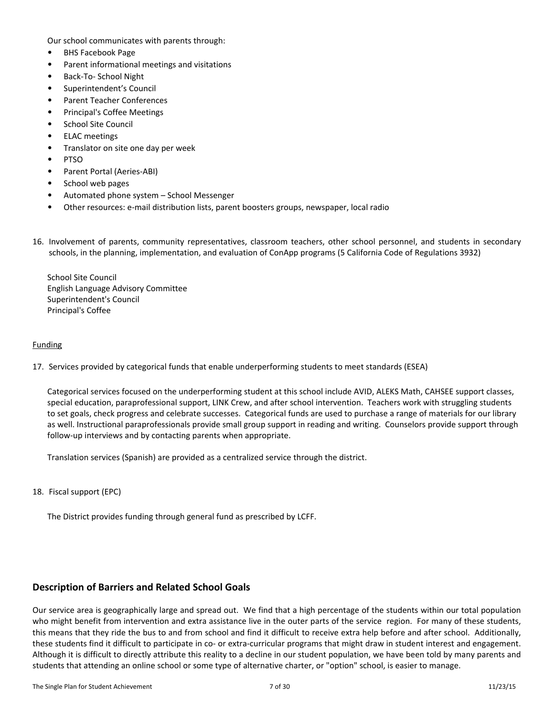Our school communicates with parents through:

- BHS Facebook Page
- Parent informational meetings and visitations
- Back-To- School Night
- Superintendent's Council
- Parent Teacher Conferences
- Principal's Coffee Meetings
- School Site Council
- ELAC meetings
- Translator on site one day per week
- PTSO
- Parent Portal (Aeries-ABI)
- School web pages
- Automated phone system School Messenger
- Other resources: e-mail distribution lists, parent boosters groups, newspaper, local radio
- 16. Involvement of parents, community representatives, classroom teachers, other school personnel, and students in secondary schools, in the planning, implementation, and evaluation of ConApp programs (5 California Code of Regulations 3932)

School Site Council English Language Advisory Committee Superintendent's Council Principal's Coffee

#### Funding

17. Services provided by categorical funds that enable underperforming students to meet standards (ESEA)

Categorical services focused on the underperforming student at this school include AVID, ALEKS Math, CAHSEE support classes, special education, paraprofessional support, LINK Crew, and after school intervention. Teachers work with struggling students to set goals, check progress and celebrate successes. Categorical funds are used to purchase a range of materials for our library as well. Instructional paraprofessionals provide small group support in reading and writing. Counselors provide support through follow-up interviews and by contacting parents when appropriate.

Translation services (Spanish) are provided as a centralized service through the district.

18. Fiscal support (EPC)

The District provides funding through general fund as prescribed by LCFF.

## <span id="page-6-0"></span>**Description of Barriers and Related School Goals**

Our service area is geographically large and spread out. We find that a high percentage of the students within our total population who might benefit from intervention and extra assistance live in the outer parts of the service region. For many of these students, this means that they ride the bus to and from school and find it difficult to receive extra help before and after school. Additionally, these students find it difficult to participate in co- or extra-curricular programs that might draw in student interest and engagement. Although it is difficult to directly attribute this reality to a decline in our student population, we have been told by many parents and students that attending an online school or some type of alternative charter, or "option" school, is easier to manage.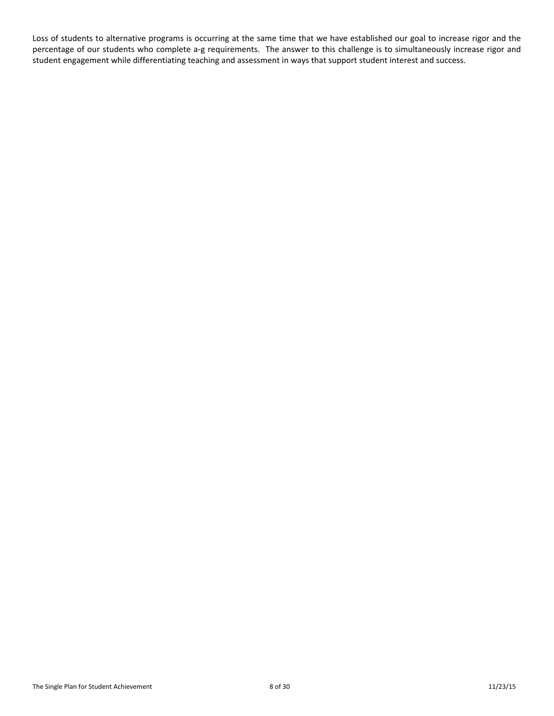Loss of students to alternative programs is occurring at the same time that we have established our goal to increase rigor and the percentage of our students who complete a-g requirements. The answer to this challenge is to simultaneously increase rigor and student engagement while differentiating teaching and assessment in ways that support student interest and success.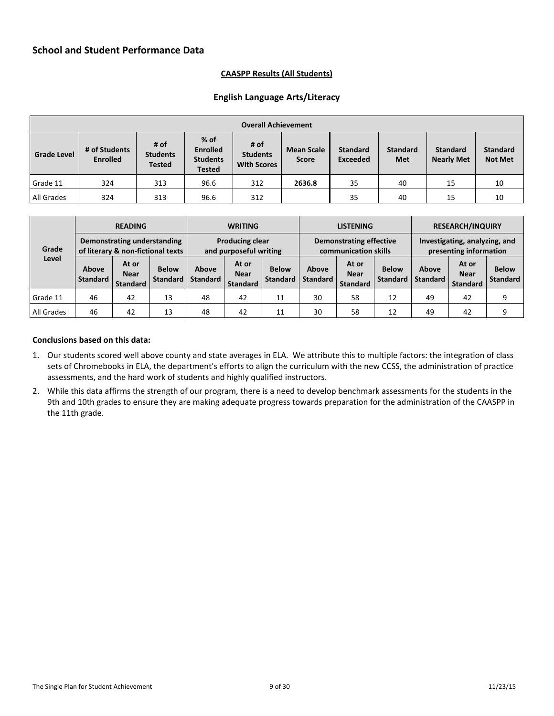### <span id="page-8-1"></span>**CAASPP Results (All Students)**

## **English Language Arts/Literacy**

<span id="page-8-0"></span>

|                    | <b>Overall Achievement</b>       |                                          |                                                               |                                               |                                   |                                    |                               |                                      |                                   |  |  |
|--------------------|----------------------------------|------------------------------------------|---------------------------------------------------------------|-----------------------------------------------|-----------------------------------|------------------------------------|-------------------------------|--------------------------------------|-----------------------------------|--|--|
| <b>Grade Level</b> | # of Students<br><b>Enrolled</b> | # of<br><b>Students</b><br><b>Tested</b> | $%$ of<br><b>Enrolled</b><br><b>Students</b><br><b>Tested</b> | # of<br><b>Students</b><br><b>With Scores</b> | <b>Mean Scale</b><br><b>Score</b> | <b>Standard</b><br><b>Exceeded</b> | <b>Standard</b><br><b>Met</b> | <b>Standard</b><br><b>Nearly Met</b> | <b>Standard</b><br><b>Not Met</b> |  |  |
| Grade 11           | 324                              | 313                                      | 96.6                                                          | 312                                           | 2636.8                            | 35                                 | 40                            | 15                                   | 10                                |  |  |
| All Grades         | 324                              | 313                                      | 96.6                                                          | 312                                           |                                   | 35                                 | 40                            | 15                                   | 10                                |  |  |

|            |                                                                  | <b>READING</b>                          |                                 |                                                  | <b>WRITING</b>                          |                                 |                                                        | <b>LISTENING</b>                        |                                 |                                                         | <b>RESEARCH/INQUIRY</b>                 |                                 |  |
|------------|------------------------------------------------------------------|-----------------------------------------|---------------------------------|--------------------------------------------------|-----------------------------------------|---------------------------------|--------------------------------------------------------|-----------------------------------------|---------------------------------|---------------------------------------------------------|-----------------------------------------|---------------------------------|--|
| Grade      | Demonstrating understanding<br>of literary & non-fictional texts |                                         |                                 | <b>Producing clear</b><br>and purposeful writing |                                         |                                 | <b>Demonstrating effective</b><br>communication skills |                                         |                                 | Investigating, analyzing, and<br>presenting information |                                         |                                 |  |
| Level      | <b>Above</b><br><b>Standard</b>                                  | At or<br><b>Near</b><br><b>Standard</b> | <b>Below</b><br><b>Standard</b> | Above<br><b>Standard</b>                         | At or<br><b>Near</b><br><b>Standard</b> | <b>Below</b><br><b>Standard</b> | Above<br><b>Standard</b>                               | At or<br><b>Near</b><br><b>Standard</b> | <b>Below</b><br><b>Standard</b> | Above<br><b>Standard</b>                                | At or<br><b>Near</b><br><b>Standard</b> | <b>Below</b><br><b>Standard</b> |  |
| Grade 11   | 46                                                               | 42                                      | 13                              | 48                                               | 42                                      | 11                              | 30                                                     | 58                                      | 12                              | 49                                                      | 42                                      | 9                               |  |
| All Grades | 46                                                               | 42                                      | 13                              | 48                                               | 42                                      | 11                              | 30                                                     | 58                                      | 12                              | 49                                                      | 42                                      | 9                               |  |

#### **Conclusions based on this data:**

- 1. Our students scored well above county and state averages in ELA. We attribute this to multiple factors: the integration of class sets of Chromebooks in ELA, the department's efforts to align the curriculum with the new CCSS, the administration of practice assessments, and the hard work of students and highly qualified instructors.
- 2. While this data affirms the strength of our program, there is a need to develop benchmark assessments for the students in the 9th and 10th grades to ensure they are making adequate progress towards preparation for the administration of the CAASPP in the 11th grade.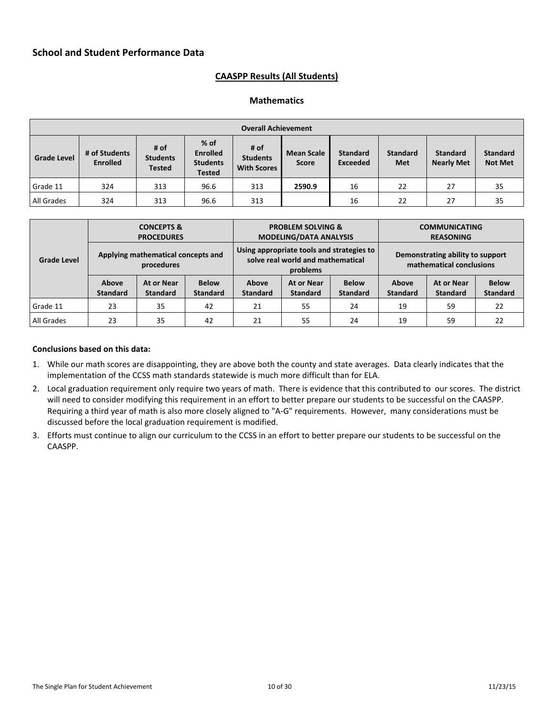## **CAASPP Results (All Students)**

### **Mathematics**

| <b>Overall Achievement</b> |                                  |                                          |                                                               |                                               |                                   |                                    |                               |                                      |                                   |
|----------------------------|----------------------------------|------------------------------------------|---------------------------------------------------------------|-----------------------------------------------|-----------------------------------|------------------------------------|-------------------------------|--------------------------------------|-----------------------------------|
| <b>Grade Level</b>         | # of Students<br><b>Enrolled</b> | # of<br><b>Students</b><br><b>Tested</b> | $%$ of<br><b>Enrolled</b><br><b>Students</b><br><b>Tested</b> | # of<br><b>Students</b><br><b>With Scores</b> | <b>Mean Scale</b><br><b>Score</b> | <b>Standard</b><br><b>Exceeded</b> | <b>Standard</b><br><b>Met</b> | <b>Standard</b><br><b>Nearly Met</b> | <b>Standard</b><br><b>Not Met</b> |
| Grade 11                   | 324                              | 313                                      | 96.6                                                          | 313                                           | 2590.9                            | 16                                 | 22                            | 27                                   | 35                                |
| All Grades                 | 324                              | 313                                      | 96.6                                                          | 313                                           |                                   | 16                                 | 22                            | 27                                   | 35                                |

|             | <b>CONCEPTS &amp;</b><br><b>PROCEDURES</b> |                                                  |                                 |                          | <b>PROBLEM SOLVING &amp;</b><br><b>MODELING/DATA ANALYSIS</b>                              |                                 | <b>COMMUNICATING</b><br><b>REASONING</b> |                                                              |                                 |  |
|-------------|--------------------------------------------|--------------------------------------------------|---------------------------------|--------------------------|--------------------------------------------------------------------------------------------|---------------------------------|------------------------------------------|--------------------------------------------------------------|---------------------------------|--|
| Grade Level |                                            | Applying mathematical concepts and<br>procedures |                                 |                          | Using appropriate tools and strategies to<br>solve real world and mathematical<br>problems |                                 |                                          | Demonstrating ability to support<br>mathematical conclusions |                                 |  |
|             | Above<br><b>Standard</b>                   | At or Near<br><b>Standard</b>                    | <b>Below</b><br><b>Standard</b> | Above<br><b>Standard</b> | At or Near<br><b>Standard</b>                                                              | <b>Below</b><br><b>Standard</b> | Above<br><b>Standard</b>                 | At or Near<br><b>Standard</b>                                | <b>Below</b><br><b>Standard</b> |  |
| l Grade 11  | 23                                         | 35                                               | 42                              | 21                       | 55                                                                                         | 24                              | 19                                       | 59                                                           | 22                              |  |
| All Grades  | 23                                         | 35                                               | 42                              | 21                       | 55                                                                                         | 24                              | 19                                       | 59                                                           | 22                              |  |

#### **Conclusions based on this data:**

- 1. While our math scores are disappointing, they are above both the county and state averages. Data clearly indicates that the implementation of the CCSS math standards statewide is much more difficult than for ELA.
- 2. Local graduation requirement only require two years of math. There is evidence that this contributed to our scores. The district will need to consider modifying this requirement in an effort to better prepare our students to be successful on the CAASPP. Requiring a third year of math is also more closely aligned to "A-G" requirements. However, many considerations must be discussed before the local graduation requirement is modified.
- 3. Efforts must continue to align our curriculum to the CCSS in an effort to better prepare our students to be successful on the CAASPP.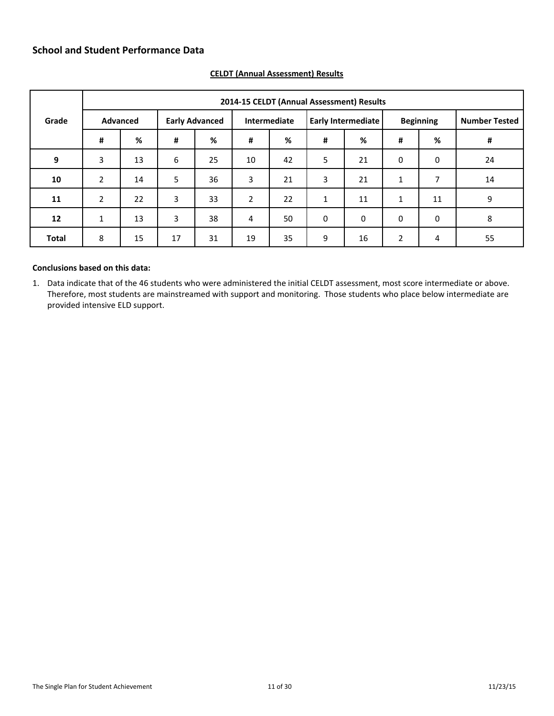|              |              | 2014-15 CELDT (Annual Assessment) Results |    |                       |                |              |   |                           |                |                  |                      |  |  |
|--------------|--------------|-------------------------------------------|----|-----------------------|----------------|--------------|---|---------------------------|----------------|------------------|----------------------|--|--|
| Grade        |              | <b>Advanced</b>                           |    | <b>Early Advanced</b> |                | Intermediate |   | <b>Early Intermediate</b> |                | <b>Beginning</b> | <b>Number Tested</b> |  |  |
|              | #            | %                                         | #  | %                     | #              | %            | # | %                         | #              | %                | $\pmb{\sharp}$       |  |  |
| 9            | 3            | 13                                        | 6  | 25                    | 10             | 42           | 5 | 21                        | $\mathbf 0$    | $\boldsymbol{0}$ | 24                   |  |  |
| 10           | 2            | 14                                        | 5  | 36                    | 3              | 21           | 3 | 21                        | 1              | 7                | 14                   |  |  |
| 11           | 2            | 22                                        | 3  | 33                    | $\overline{2}$ | 22           | 1 | 11                        | 1              | 11               | 9                    |  |  |
| 12           | $\mathbf{1}$ | 13                                        | 3  | 38                    | 4              | 50           | 0 | 0                         | $\mathbf 0$    | 0                | 8                    |  |  |
| <b>Total</b> | 8            | 15                                        | 17 | 31                    | 19             | 35           | 9 | 16                        | $\overline{2}$ | 4                | 55                   |  |  |

## <span id="page-10-0"></span>**CELDT (Annual Assessment) Results**

## **Conclusions based on this data:**

1. Data indicate that of the 46 students who were administered the initial CELDT assessment, most score intermediate or above. Therefore, most students are mainstreamed with support and monitoring. Those students who place below intermediate are provided intensive ELD support.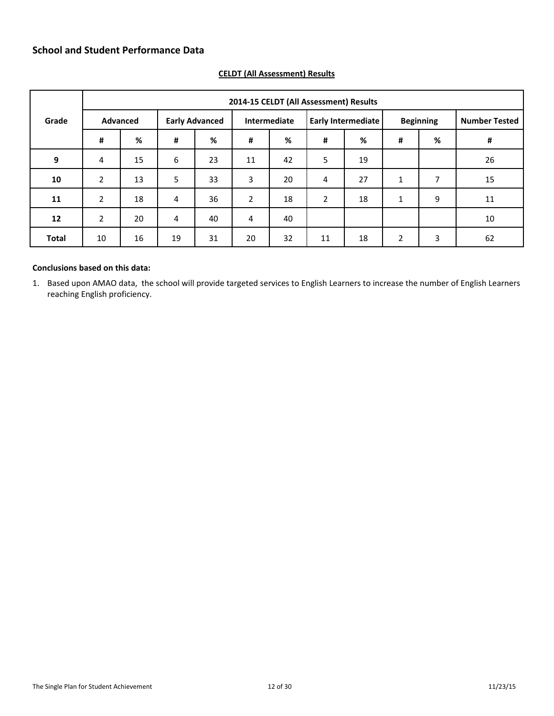|                   | 2014-15 CELDT (All Assessment) Results |          |    |                       |                |              |                |                           |                |                  |                      |
|-------------------|----------------------------------------|----------|----|-----------------------|----------------|--------------|----------------|---------------------------|----------------|------------------|----------------------|
| Grade             |                                        | Advanced |    | <b>Early Advanced</b> |                | Intermediate |                | <b>Early Intermediate</b> |                | <b>Beginning</b> | <b>Number Tested</b> |
|                   | #                                      | %        | #  | %                     | $\pmb{\sharp}$ | %            | #              | %                         | #              | %                | #                    |
| 9                 | 4                                      | 15       | 6  | 23                    | 11             | 42           | 5              | 19                        |                |                  | 26                   |
| 10                | 2                                      | 13       | 5  | 33                    | 3              | 20           | 4              | 27                        | 1              | 7                | 15                   |
| 11                | 2                                      | 18       | 4  | 36                    | $\overline{2}$ | 18           | $\overline{2}$ | 18                        | $\mathbf{1}$   | 9                | 11                   |
| $12 \overline{ }$ | 2                                      | 20       | 4  | 40                    | 4              | 40           |                |                           |                |                  | 10                   |
| <b>Total</b>      | 10                                     | 16       | 19 | 31                    | 20             | 32           | 11             | 18                        | $\overline{2}$ | 3                | 62                   |

## <span id="page-11-0"></span>**CELDT (All Assessment) Results**

## **Conclusions based on this data:**

1. Based upon AMAO data, the school will provide targeted services to English Learners to increase the number of English Learners reaching English proficiency.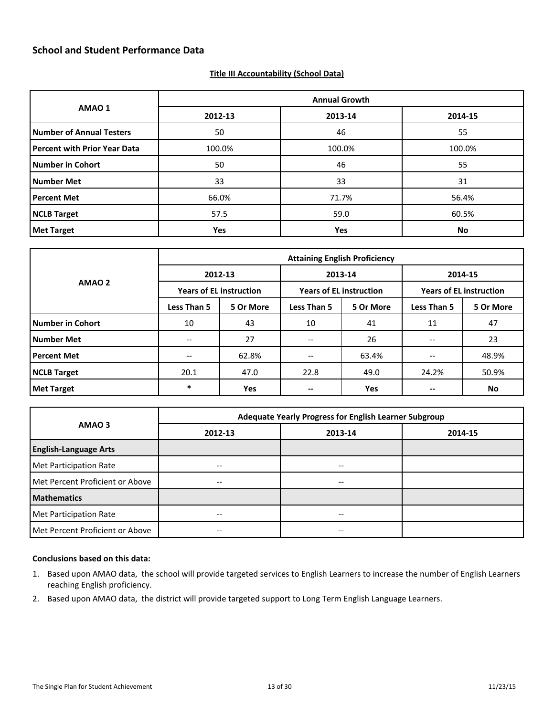#### <span id="page-12-0"></span>**Title III Accountability (School Data)**

|                                     |            | <b>Annual Growth</b> |         |  |
|-------------------------------------|------------|----------------------|---------|--|
| AMAO 1                              | 2012-13    | 2013-14              | 2014-15 |  |
| <b>Number of Annual Testers</b>     | 50         | 46                   | 55      |  |
| <b>Percent with Prior Year Data</b> | 100.0%     | 100.0%               | 100.0%  |  |
| <b>Number in Cohort</b>             | 50         | 46                   | 55      |  |
| <b>Number Met</b>                   | 33         | 33                   | 31      |  |
| <b>Percent Met</b>                  | 66.0%      | 71.7%                | 56.4%   |  |
| <b>NCLB Target</b>                  | 57.5       | 59.0                 | 60.5%   |  |
| <b>Met Target</b>                   | <b>Yes</b> | Yes                  | No      |  |

|                         |                   | <b>Attaining English Proficiency</b> |                                                |                                |                                |           |  |  |  |  |  |
|-------------------------|-------------------|--------------------------------------|------------------------------------------------|--------------------------------|--------------------------------|-----------|--|--|--|--|--|
|                         |                   | 2012-13                              |                                                | 2013-14                        | 2014-15                        |           |  |  |  |  |  |
| AMAO <sub>2</sub>       |                   | <b>Years of EL instruction</b>       |                                                | <b>Years of EL instruction</b> | <b>Years of EL instruction</b> |           |  |  |  |  |  |
|                         | Less Than 5       | 5 Or More                            | <b>Less Than 5</b>                             | 5 Or More                      | <b>Less Than 5</b>             | 5 Or More |  |  |  |  |  |
| <b>Number in Cohort</b> | 10                | 43                                   | 10                                             | 41                             | 11                             | 47        |  |  |  |  |  |
| <b>Number Met</b>       | --                | 27                                   | $- -$                                          | 26                             | --                             | 23        |  |  |  |  |  |
| <b>Percent Met</b>      | $\qquad \qquad -$ | 62.8%                                | $\hspace{0.05cm}$ – $\hspace{0.05cm}$          | 63.4%                          |                                | 48.9%     |  |  |  |  |  |
| <b>NCLB Target</b>      | 20.1              | 47.0                                 | 22.8                                           | 49.0                           | 24.2%                          | 50.9%     |  |  |  |  |  |
| <b>Met Target</b>       | *                 | <b>Yes</b>                           | $\hspace{0.1mm}-\hspace{0.1mm}-\hspace{0.1mm}$ | <b>Yes</b>                     |                                | No        |  |  |  |  |  |

|                                 | Adequate Yearly Progress for English Learner Subgroup |         |         |  |  |  |  |  |
|---------------------------------|-------------------------------------------------------|---------|---------|--|--|--|--|--|
| AMAO <sub>3</sub>               | 2012-13                                               | 2013-14 | 2014-15 |  |  |  |  |  |
| <b>English-Language Arts</b>    |                                                       |         |         |  |  |  |  |  |
| Met Participation Rate          |                                                       | --      |         |  |  |  |  |  |
| Met Percent Proficient or Above | $- -$                                                 | --      |         |  |  |  |  |  |
| <b>Mathematics</b>              |                                                       |         |         |  |  |  |  |  |
| Met Participation Rate          | $- -$                                                 | --      |         |  |  |  |  |  |
| Met Percent Proficient or Above | $\hspace{0.05cm}$ – $\hspace{0.05cm}$                 | --      |         |  |  |  |  |  |

#### **Conclusions based on this data:**

- 1. Based upon AMAO data, the school will provide targeted services to English Learners to increase the number of English Learners reaching English proficiency.
- 2. Based upon AMAO data, the district will provide targeted support to Long Term English Language Learners.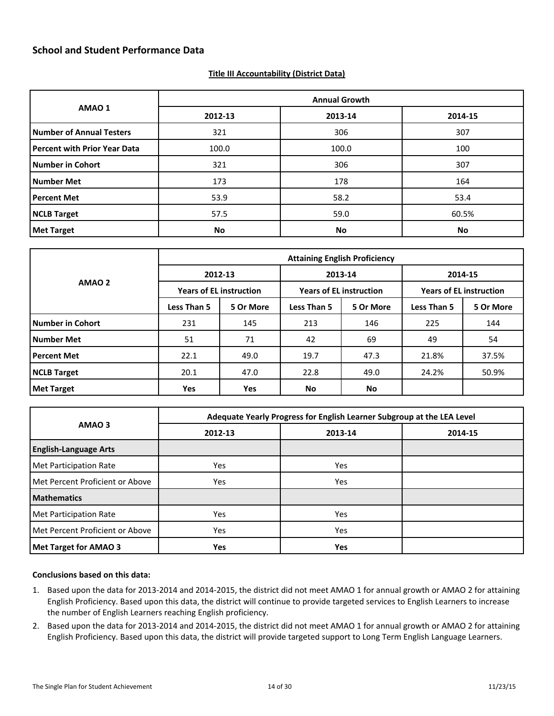#### <span id="page-13-0"></span>**Title III Accountability (District Data)**

|                                     |         | <b>Annual Growth</b> |         |
|-------------------------------------|---------|----------------------|---------|
| AMAO 1                              | 2012-13 | 2013-14              | 2014-15 |
| <b>Number of Annual Testers</b>     | 321     | 306                  | 307     |
| <b>Percent with Prior Year Data</b> | 100.0   | 100.0                | 100     |
| <b>Number in Cohort</b>             | 321     | 306                  | 307     |
| <b>Number Met</b>                   | 173     | 178                  | 164     |
| <b>Percent Met</b>                  | 53.9    | 58.2                 | 53.4    |
| <b>NCLB Target</b>                  | 57.5    | 59.0                 | 60.5%   |
| <b>Met Target</b>                   | No      | <b>No</b>            | No      |

| AMAO <sub>2</sub>  | <b>Attaining English Proficiency</b> |                                |                    |                                |                                |           |  |
|--------------------|--------------------------------------|--------------------------------|--------------------|--------------------------------|--------------------------------|-----------|--|
|                    | 2012-13                              |                                |                    | 2013-14<br>2014-15             |                                |           |  |
|                    |                                      | <b>Years of EL instruction</b> |                    | <b>Years of EL instruction</b> | <b>Years of EL instruction</b> |           |  |
|                    | <b>Less Than 5</b>                   | 5 Or More                      | <b>Less Than 5</b> | 5 Or More                      | <b>Less Than 5</b>             | 5 Or More |  |
| Number in Cohort   | 231                                  | 145                            | 213                | 146                            | 225                            | 144       |  |
| Number Met         | 51                                   | 71                             | 42                 | 69                             | 49                             | 54        |  |
| <b>Percent Met</b> | 22.1                                 | 49.0                           | 19.7               | 47.3                           | 21.8%                          | 37.5%     |  |
| NCLB Target        | 20.1                                 | 47.0                           |                    | 49.0                           | 24.2%                          | 50.9%     |  |
| Met Target         | Yes                                  | Yes                            | No                 | No                             |                                |           |  |

|                                 |            | Adequate Yearly Progress for English Learner Subgroup at the LEA Level |         |
|---------------------------------|------------|------------------------------------------------------------------------|---------|
| AMAO <sub>3</sub>               | 2012-13    | 2013-14                                                                | 2014-15 |
| <b>English-Language Arts</b>    |            |                                                                        |         |
| Met Participation Rate          | Yes        | Yes                                                                    |         |
| Met Percent Proficient or Above | <b>Yes</b> | Yes                                                                    |         |
| <b>Mathematics</b>              |            |                                                                        |         |
| Met Participation Rate          | <b>Yes</b> | Yes                                                                    |         |
| Met Percent Proficient or Above | Yes        | Yes                                                                    |         |
| Met Target for AMAO 3           | <b>Yes</b> | Yes                                                                    |         |

#### **Conclusions based on this data:**

- 1. Based upon the data for 2013-2014 and 2014-2015, the district did not meet AMAO 1 for annual growth or AMAO 2 for attaining English Proficiency. Based upon this data, the district will continue to provide targeted services to English Learners to increase the number of English Learners reaching English proficiency.
- 2. Based upon the data for 2013-2014 and 2014-2015, the district did not meet AMAO 1 for annual growth or AMAO 2 for attaining English Proficiency. Based upon this data, the district will provide targeted support to Long Term English Language Learners.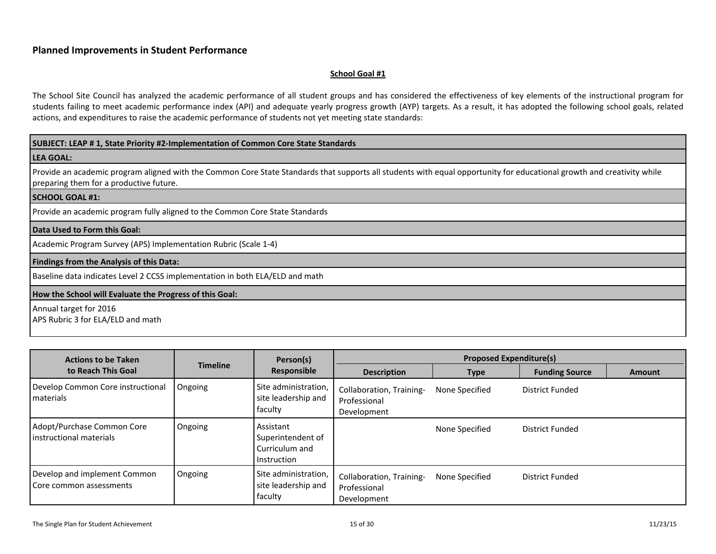#### <span id="page-14-1"></span>**School Goal #1**

The School Site Council has analyzed the academic performance of all student groups and has considered the effectiveness of key elements of the instructional program for students failing to meet academic performance index (API) and adequate yearly progress growth (AYP) targets. As a result, it has adopted the following school goals, related actions, and expenditures to raise the academic performance of students not yet meeting state standards:

#### **SUBJECT: LEAP # 1, State Priority #2-Implementation of Common Core State Standards**

#### **LEA GOAL:**

Provide an academic program aligned with the Common Core State Standards that supports all students with equal opportunity for educational growth and creativity while preparing them for a productive future.

#### **SCHOOL GOAL #1:**

<span id="page-14-0"></span>Provide an academic program fully aligned to the Common Core State Standards

#### **Data Used to Form this Goal:**

Academic Program Survey (APS) Implementation Rubric (Scale 1-4)

#### **Findings from the Analysis of this Data:**

Baseline data indicates Level 2 CCSS implementation in both ELA/ELD and math

#### **How the School will Evaluate the Progress of this Goal:**

Annual target for 2016 APS Rubric 3 for ELA/ELD and math

| <b>Actions to be Taken</b>                                |                 | Person(s)<br>Responsible                                        | <b>Proposed Expenditure(s)</b>                          |                |                       |               |
|-----------------------------------------------------------|-----------------|-----------------------------------------------------------------|---------------------------------------------------------|----------------|-----------------------|---------------|
| to Reach This Goal                                        | <b>Timeline</b> |                                                                 | <b>Description</b>                                      | <b>Type</b>    | <b>Funding Source</b> | <b>Amount</b> |
| Develop Common Core instructional<br>l materials          | Ongoing         | Site administration,<br>site leadership and<br>faculty          | Collaboration, Training-<br>Professional<br>Development | None Specified | District Funded       |               |
| Adopt/Purchase Common Core<br>l instructional materials   | Ongoing         | Assistant<br>Superintendent of<br>Curriculum and<br>Instruction |                                                         | None Specified | District Funded       |               |
| Develop and implement Common<br>l Core common assessments | Ongoing         | Site administration,<br>site leadership and<br>faculty          | Collaboration, Training-<br>Professional<br>Development | None Specified | District Funded       |               |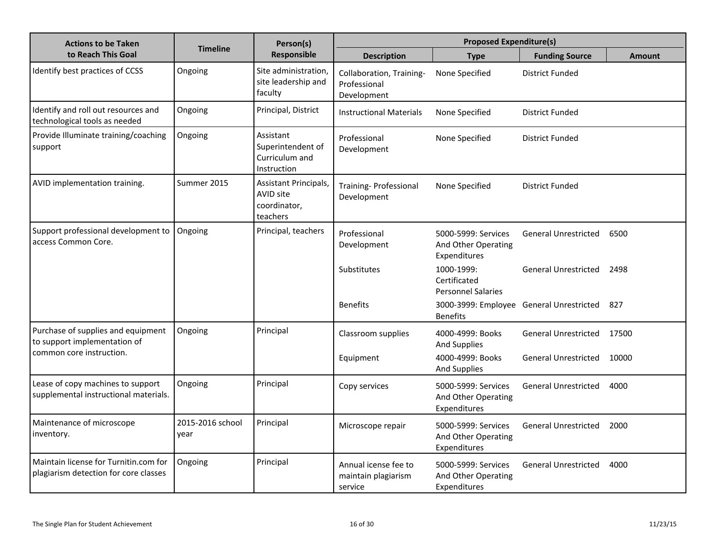| <b>Actions to be Taken</b>                                                     |                          | Person(s)                                                             |                                                         | <b>Proposed Expenditure(s)</b>                             |                                          |               |
|--------------------------------------------------------------------------------|--------------------------|-----------------------------------------------------------------------|---------------------------------------------------------|------------------------------------------------------------|------------------------------------------|---------------|
| to Reach This Goal                                                             | <b>Timeline</b>          | Responsible                                                           | <b>Description</b>                                      | <b>Type</b>                                                | <b>Funding Source</b>                    | <b>Amount</b> |
| Identify best practices of CCSS                                                | Ongoing                  | Site administration,<br>site leadership and<br>faculty                | Collaboration, Training-<br>Professional<br>Development | None Specified                                             | District Funded                          |               |
| Identify and roll out resources and<br>technological tools as needed           | Ongoing                  | Principal, District                                                   | <b>Instructional Materials</b>                          | None Specified                                             | District Funded                          |               |
| Provide Illuminate training/coaching<br>support                                | Ongoing                  | Assistant<br>Superintendent of<br>Curriculum and<br>Instruction       | Professional<br>Development                             | None Specified                                             | <b>District Funded</b>                   |               |
| AVID implementation training.                                                  | Summer 2015              | Assistant Principals,<br><b>AVID site</b><br>coordinator,<br>teachers | Training- Professional<br>Development                   | None Specified                                             | <b>District Funded</b>                   |               |
| Support professional development to<br>access Common Core.                     | Ongoing                  | Principal, teachers                                                   | Professional<br>Development                             | 5000-5999: Services<br>And Other Operating<br>Expenditures | <b>General Unrestricted</b>              | 6500          |
|                                                                                |                          |                                                                       | Substitutes                                             | 1000-1999:<br>Certificated<br><b>Personnel Salaries</b>    | <b>General Unrestricted</b>              | 2498          |
|                                                                                |                          |                                                                       | <b>Benefits</b>                                         | <b>Benefits</b>                                            | 3000-3999: Employee General Unrestricted | 827           |
| Purchase of supplies and equipment<br>to support implementation of             | Ongoing                  | Principal                                                             | Classroom supplies                                      | 4000-4999: Books<br><b>And Supplies</b>                    | <b>General Unrestricted</b>              | 17500         |
| common core instruction.                                                       |                          |                                                                       | Equipment                                               | 4000-4999: Books<br><b>And Supplies</b>                    | <b>General Unrestricted</b>              | 10000         |
| Lease of copy machines to support<br>supplemental instructional materials.     | Ongoing                  | Principal                                                             | Copy services                                           | 5000-5999: Services<br>And Other Operating<br>Expenditures | <b>General Unrestricted</b>              | 4000          |
| Maintenance of microscope<br>inventory.                                        | 2015-2016 school<br>year | Principal                                                             | Microscope repair                                       | 5000-5999: Services<br>And Other Operating<br>Expenditures | <b>General Unrestricted</b>              | 2000          |
| Maintain license for Turnitin.com for<br>plagiarism detection for core classes | Ongoing                  | Principal                                                             | Annual icense fee to<br>maintain plagiarism<br>service  | 5000-5999: Services<br>And Other Operating<br>Expenditures | <b>General Unrestricted</b>              | 4000          |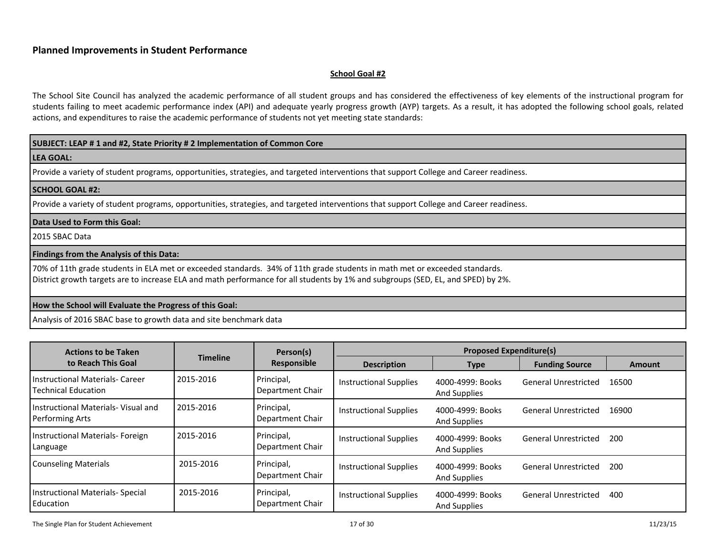#### <span id="page-16-0"></span>**School Goal #2**

The School Site Council has analyzed the academic performance of all student groups and has considered the effectiveness of key elements of the instructional program for students failing to meet academic performance index (API) and adequate yearly progress growth (AYP) targets. As a result, it has adopted the following school goals, related actions, and expenditures to raise the academic performance of students not yet meeting state standards:

#### **SUBJECT: LEAP # 1 and #2, State Priority # 2 Implementation of Common Core**

#### **LEA GOAL:**

Provide a variety of student programs, opportunities, strategies, and targeted interventions that support College and Career readiness.

#### **SCHOOL GOAL #2:**

Provide a variety of student programs, opportunities, strategies, and targeted interventions that support College and Career readiness.

#### **Data Used to Form this Goal:**

2015 SBAC Data

#### **Findings from the Analysis of this Data:**

70% of 11th grade students in ELA met or exceeded standards. 34% of 11th grade students in math met or exceeded standards.

District growth targets are to increase ELA and math performance for all students by 1% and subgroups (SED, EL, and SPED) by 2%.

#### **How the School will Evaluate the Progress of this Goal:**

Analysis of 2016 SBAC base to growth data and site benchmark data

| <b>Actions to be Taken</b>                               |                 | Person(s)                      |                               | <b>Proposed Expenditure(s)</b>          |                             |               |
|----------------------------------------------------------|-----------------|--------------------------------|-------------------------------|-----------------------------------------|-----------------------------|---------------|
| to Reach This Goal                                       | <b>Timeline</b> | Responsible                    | <b>Description</b>            | Type                                    | <b>Funding Source</b>       | <b>Amount</b> |
| Instructional Materials- Career<br>Technical Education   | 2015-2016       | Principal,<br>Department Chair | <b>Instructional Supplies</b> | 4000-4999: Books<br><b>And Supplies</b> | <b>General Unrestricted</b> | 16500         |
| l Instructional Materials- Visual and<br>Performing Arts | 2015-2016       | Principal,<br>Department Chair | <b>Instructional Supplies</b> | 4000-4999: Books<br><b>And Supplies</b> | <b>General Unrestricted</b> | 16900         |
| Instructional Materials- Foreign<br>Language             | 2015-2016       | Principal,<br>Department Chair | <b>Instructional Supplies</b> | 4000-4999: Books<br><b>And Supplies</b> | <b>General Unrestricted</b> | 200           |
| <b>Counseling Materials</b>                              | 2015-2016       | Principal,<br>Department Chair | <b>Instructional Supplies</b> | 4000-4999: Books<br>And Supplies        | <b>General Unrestricted</b> | 200           |
| Instructional Materials- Special<br>Education            | 2015-2016       | Principal,<br>Department Chair | <b>Instructional Supplies</b> | 4000-4999: Books<br><b>And Supplies</b> | <b>General Unrestricted</b> | 400           |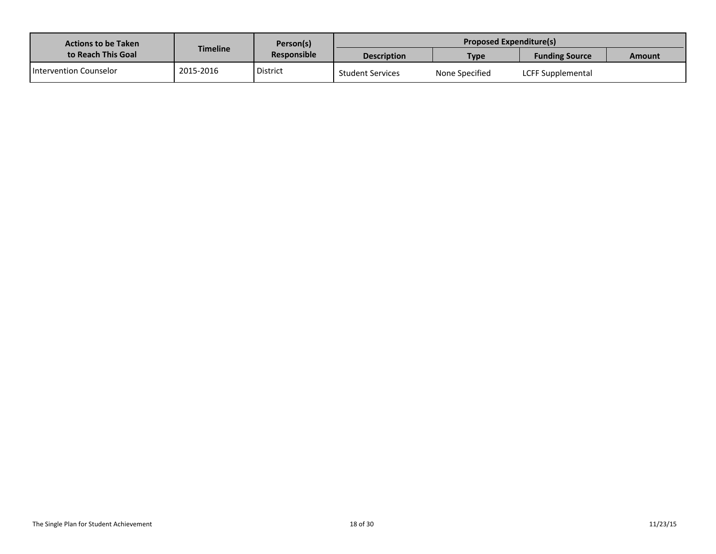| <b>Actions to be Taken</b> |           | Person(s)          |                         | <b>Proposed Expenditure(s)</b> |                       |  |  |  |
|----------------------------|-----------|--------------------|-------------------------|--------------------------------|-----------------------|--|--|--|
| to Reach This Goal         | Timeline  | <b>Responsible</b> | <b>Description</b>      | Type                           | <b>Funding Source</b> |  |  |  |
| l Intervention Counselor   | 2015-2016 | District           | <b>Student Services</b> | None Specified                 | LCFF Supplemental     |  |  |  |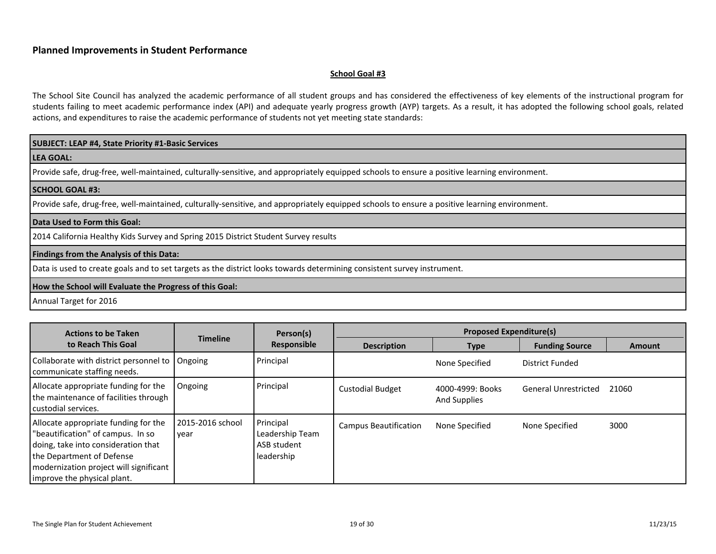#### <span id="page-18-0"></span>**School Goal #3**

The School Site Council has analyzed the academic performance of all student groups and has considered the effectiveness of key elements of the instructional program for students failing to meet academic performance index (API) and adequate yearly progress growth (AYP) targets. As a result, it has adopted the following school goals, related actions, and expenditures to raise the academic performance of students not yet meeting state standards:

#### **SUBJECT: LEAP #4, State Priority #1-Basic Services**

**LEA GOAL:**

Provide safe, drug-free, well-maintained, culturally-sensitive, and appropriately equipped schools to ensure a positive learning environment.

#### **SCHOOL GOAL #3:**

Provide safe, drug-free, well-maintained, culturally-sensitive, and appropriately equipped schools to ensure a positive learning environment.

#### **Data Used to Form this Goal:**

2014 California Healthy Kids Survey and Spring 2015 District Student Survey results

#### **Findings from the Analysis of this Data:**

Data is used to create goals and to set targets as the district looks towards determining consistent survey instrument.

#### **How the School will Evaluate the Progress of this Goal:**

Annual Target for 2016

| <b>Actions to be Taken</b>                                                                                                                                                                                               |                          | Person(s)                                                 |                              | <b>Proposed Expenditure(s)</b>   |                             |               |
|--------------------------------------------------------------------------------------------------------------------------------------------------------------------------------------------------------------------------|--------------------------|-----------------------------------------------------------|------------------------------|----------------------------------|-----------------------------|---------------|
| to Reach This Goal                                                                                                                                                                                                       | <b>Timeline</b>          | Responsible                                               | <b>Description</b>           | Type                             | <b>Funding Source</b>       | <b>Amount</b> |
| Collaborate with district personnel to<br>communicate staffing needs.                                                                                                                                                    | Ongoing                  | Principal                                                 |                              | None Specified                   | District Funded             |               |
| Allocate appropriate funding for the<br>the maintenance of facilities through<br>l custodial services.                                                                                                                   | Ongoing                  | Principal                                                 | <b>Custodial Budget</b>      | 4000-4999: Books<br>And Supplies | <b>General Unrestricted</b> | 21060         |
| Allocate appropriate funding for the<br>"beautification" of campus. In so<br>doing, take into consideration that<br>the Department of Defense<br>modernization project will significant<br>l improve the physical plant. | 2015-2016 school<br>year | Principal<br>Leadership Team<br>ASB student<br>leadership | <b>Campus Beautification</b> | None Specified                   | None Specified              | 3000          |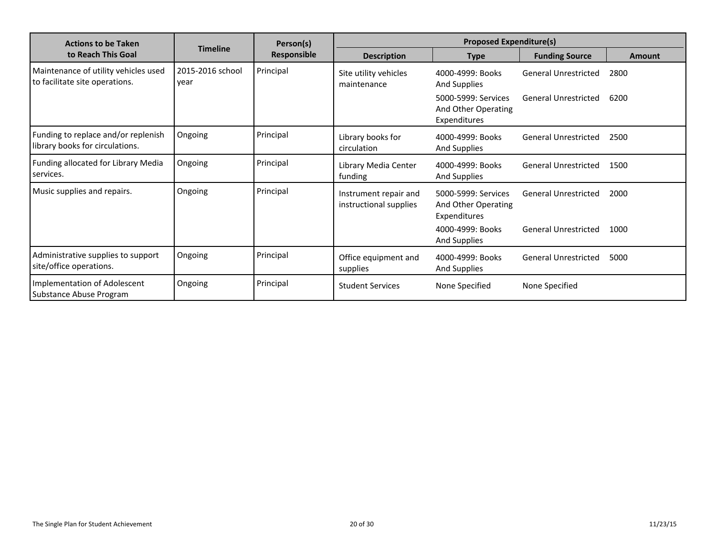| <b>Actions to be Taken</b>                                             |                          | Person(s)          |                                                 | <b>Proposed Expenditure(s)</b>                             |                             |        |
|------------------------------------------------------------------------|--------------------------|--------------------|-------------------------------------------------|------------------------------------------------------------|-----------------------------|--------|
| to Reach This Goal                                                     | <b>Timeline</b>          | <b>Responsible</b> | <b>Description</b>                              | <b>Type</b>                                                | <b>Funding Source</b>       | Amount |
| Maintenance of utility vehicles used<br>to facilitate site operations. | 2015-2016 school<br>year | Principal          | Site utility vehicles<br>maintenance            | 4000-4999: Books<br><b>And Supplies</b>                    | <b>General Unrestricted</b> | 2800   |
|                                                                        |                          |                    |                                                 | 5000-5999: Services<br>And Other Operating<br>Expenditures | General Unrestricted        | 6200   |
| Funding to replace and/or replenish<br>library books for circulations. | Ongoing                  | Principal          | Library books for<br>circulation                | 4000-4999: Books<br>And Supplies                           | <b>General Unrestricted</b> | 2500   |
| Funding allocated for Library Media<br>services.                       | Ongoing                  | Principal          | Library Media Center<br>funding                 | 4000-4999: Books<br><b>And Supplies</b>                    | <b>General Unrestricted</b> | 1500   |
| Music supplies and repairs.                                            | Ongoing                  | Principal          | Instrument repair and<br>instructional supplies | 5000-5999: Services<br>And Other Operating<br>Expenditures | <b>General Unrestricted</b> | 2000   |
|                                                                        |                          |                    |                                                 | 4000-4999: Books<br><b>And Supplies</b>                    | <b>General Unrestricted</b> | 1000   |
| Administrative supplies to support<br>site/office operations.          | Ongoing                  | Principal          | Office equipment and<br>supplies                | 4000-4999: Books<br>And Supplies                           | <b>General Unrestricted</b> | 5000   |
| Implementation of Adolescent<br>Substance Abuse Program                | Ongoing                  | Principal          | <b>Student Services</b>                         | None Specified                                             | None Specified              |        |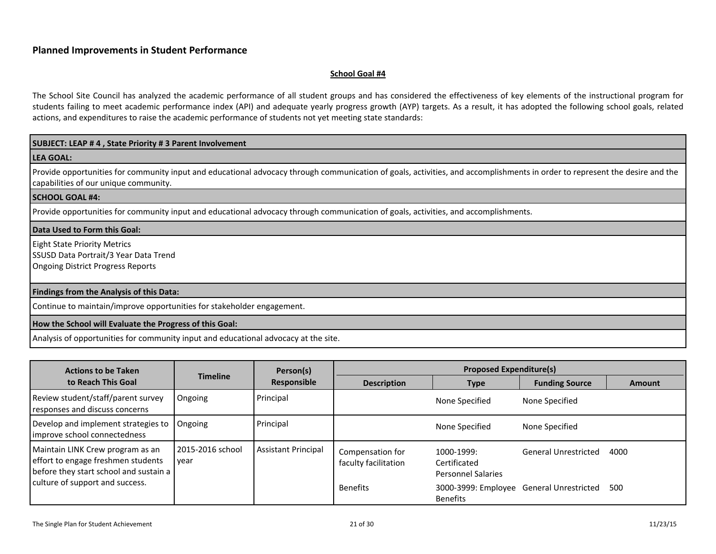#### <span id="page-20-0"></span>**School Goal #4**

The School Site Council has analyzed the academic performance of all student groups and has considered the effectiveness of key elements of the instructional program for students failing to meet academic performance index (API) and adequate yearly progress growth (AYP) targets. As a result, it has adopted the following school goals, related actions, and expenditures to raise the academic performance of students not yet meeting state standards:

#### **SUBJECT: LEAP # 4 , State Priority # 3 Parent Involvement**

#### **LEA GOAL:**

Provide opportunities for community input and educational advocacy through communication of goals, activities, and accomplishments in order to represent the desire and the capabilities of our unique community.

#### **SCHOOL GOAL #4:**

Provide opportunities for community input and educational advocacy through communication of goals, activities, and accomplishments.

#### **Data Used to Form this Goal:**

Eight State Priority Metrics SSUSD Data Portrait/3 Year Data Trend Ongoing District Progress Reports

#### **Findings from the Analysis of this Data:**

Continue to maintain/improve opportunities for stakeholder engagement.

#### **How the School will Evaluate the Progress of this Goal:**

Analysis of opportunities for community input and educational advocacy at the site.

| <b>Actions to be Taken</b>                                                                                       |                          | Person(s)                  |                                          | <b>Proposed Expenditure(s)</b>                              |                             |        |
|------------------------------------------------------------------------------------------------------------------|--------------------------|----------------------------|------------------------------------------|-------------------------------------------------------------|-----------------------------|--------|
| to Reach This Goal                                                                                               | <b>Timeline</b>          | Responsible                | <b>Description</b>                       | <b>Type</b>                                                 | <b>Funding Source</b>       | Amount |
| Review student/staff/parent survey<br>responses and discuss concerns                                             | Ongoing                  | Principal                  |                                          | None Specified                                              | None Specified              |        |
| Develop and implement strategies to<br>improve school connectedness                                              | Ongoing                  | Principal                  |                                          | None Specified                                              | None Specified              |        |
| Maintain LINK Crew program as an<br>effort to engage freshmen students<br>before they start school and sustain a | 2015-2016 school<br>vear | <b>Assistant Principal</b> | Compensation for<br>faculty facilitation | 1000-1999:<br>Certificated<br><b>Personnel Salaries</b>     | <b>General Unrestricted</b> | 4000   |
| culture of support and success.                                                                                  |                          |                            | <b>Benefits</b>                          | 3000-3999: Employee General Unrestricted<br><b>Benefits</b> |                             | 500    |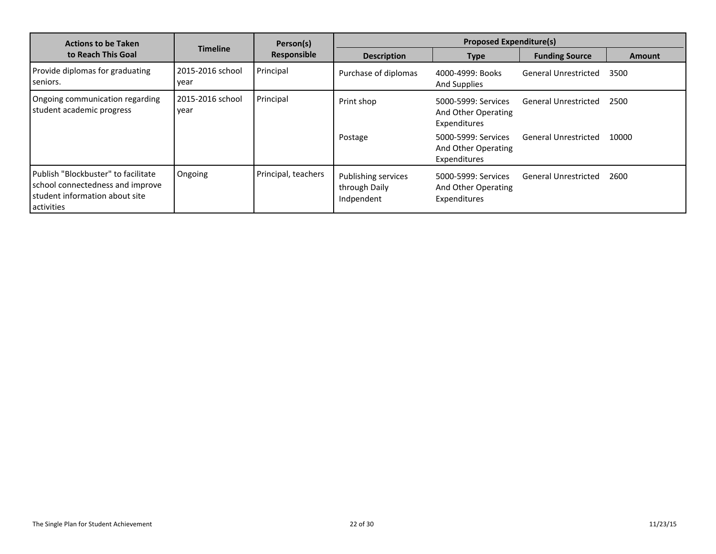| <b>Actions to be Taken</b>                                                                                              |                          | Person(s)           | <b>Proposed Expenditure(s)</b>                     |                                                            |                             |               |
|-------------------------------------------------------------------------------------------------------------------------|--------------------------|---------------------|----------------------------------------------------|------------------------------------------------------------|-----------------------------|---------------|
| to Reach This Goal                                                                                                      | <b>Timeline</b>          | Responsible         | <b>Description</b>                                 | <b>Type</b>                                                | <b>Funding Source</b>       | <b>Amount</b> |
| Provide diplomas for graduating<br>seniors.                                                                             | 2015-2016 school<br>vear | Principal           | Purchase of diplomas                               | 4000-4999: Books<br>And Supplies                           | <b>General Unrestricted</b> | 3500          |
| Ongoing communication regarding<br>student academic progress                                                            | 2015-2016 school<br>year | Principal           | Print shop                                         | 5000-5999: Services<br>And Other Operating<br>Expenditures | <b>General Unrestricted</b> | 2500          |
|                                                                                                                         |                          |                     | Postage                                            | 5000-5999: Services<br>And Other Operating<br>Expenditures | <b>General Unrestricted</b> | 10000         |
| Publish "Blockbuster" to facilitate<br>school connectedness and improve<br>student information about site<br>activities | Ongoing                  | Principal, teachers | Publishing services<br>through Daily<br>Indpendent | 5000-5999: Services<br>And Other Operating<br>Expenditures | <b>General Unrestricted</b> | 2600          |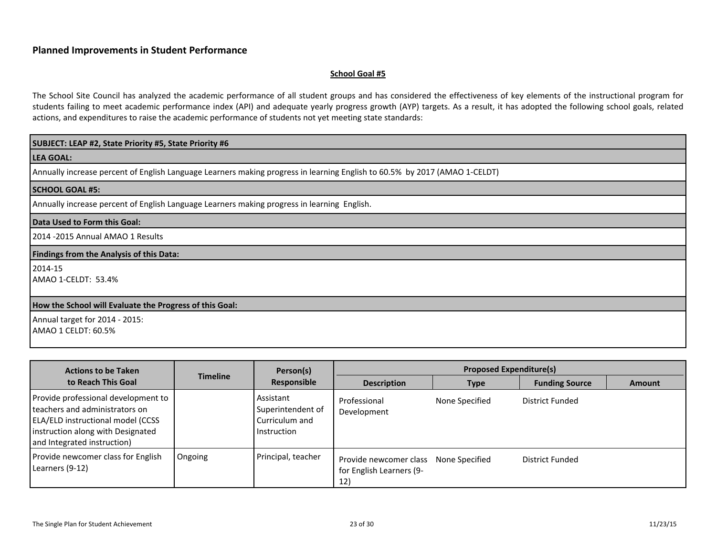#### <span id="page-22-0"></span>**School Goal #5**

The School Site Council has analyzed the academic performance of all student groups and has considered the effectiveness of key elements of the instructional program for students failing to meet academic performance index (API) and adequate yearly progress growth (AYP) targets. As a result, it has adopted the following school goals, related actions, and expenditures to raise the academic performance of students not yet meeting state standards:

#### **SUBJECT: LEAP #2, State Priority #5, State Priority #6**

**LEA GOAL:**

Annually increase percent of English Language Learners making progress in learning English to 60.5% by 2017 (AMAO 1-CELDT)

#### **SCHOOL GOAL #5:**

Annually increase percent of English Language Learners making progress in learning English.

#### **Data Used to Form this Goal:**

2014 -2015 Annual AMAO 1 Results

#### **Findings from the Analysis of this Data:**

2014-15

AMAO 1-CELDT: 53.4%

#### **How the School will Evaluate the Progress of this Goal:**

Annual target for 2014 - 2015: AMAO 1 CELDT: 60.5%

| <b>Actions to be Taken</b><br><b>Timeline</b>                                                                                                                                           |         | Person(s)                                                       | <b>Proposed Expenditure(s)</b>                            |                |                       |               |
|-----------------------------------------------------------------------------------------------------------------------------------------------------------------------------------------|---------|-----------------------------------------------------------------|-----------------------------------------------------------|----------------|-----------------------|---------------|
| to Reach This Goal                                                                                                                                                                      |         | Responsible                                                     | <b>Description</b>                                        | <b>Type</b>    | <b>Funding Source</b> | <b>Amount</b> |
| Provide professional development to<br>l teachers and administrators on<br><b>ELA/ELD instructional model (CCSS</b><br>instruction along with Designated<br>and Integrated instruction) |         | Assistant<br>Superintendent of<br>Curriculum and<br>Instruction | Professional<br>Development                               | None Specified | District Funded       |               |
| Provide newcomer class for English<br>Learners (9-12)                                                                                                                                   | Ongoing | Principal, teacher                                              | Provide newcomer class<br>for English Learners (9-<br>12) | None Specified | District Funded       |               |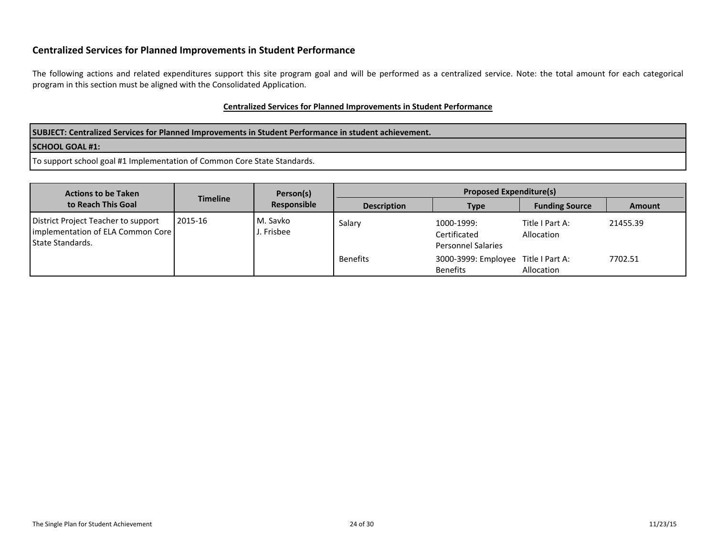## **Centralized Services for Planned Improvements in Student Performance**

The following actions and related expenditures support this site program goal and will be performed as a centralized service. Note: the total amount for each categorical program in this section must be aligned with the Consolidated Application.

#### **Centralized Services for Planned Improvements in Student Performance**

**SUBJECT: Centralized Services for Planned Improvements in Student Performance in student achievement.**

#### **SCHOOL GOAL #1:**

To support school goal #1 Implementation of Common Core State Standards.

<span id="page-23-0"></span>

| <b>Actions to be Taken</b><br>to Reach This Goal                                               | Timeline | Person(s)<br>Responsible | <b>Proposed Expenditure(s)</b> |                                                         |                               |               |
|------------------------------------------------------------------------------------------------|----------|--------------------------|--------------------------------|---------------------------------------------------------|-------------------------------|---------------|
|                                                                                                |          |                          | <b>Description</b>             | Type                                                    | <b>Funding Source</b>         | <b>Amount</b> |
| District Project Teacher to support<br>implementation of ELA Common Core<br>l State Standards. | 2015-16  | l M. Savko<br>. Frisbee  | Salary                         | 1000-1999:<br>Certificated<br><b>Personnel Salaries</b> | Title I Part A:<br>Allocation | 21455.39      |
|                                                                                                |          |                          | <b>Benefits</b>                | 3000-3999: Employee Title I Part A:<br><b>Benefits</b>  | Allocation                    | 7702.51       |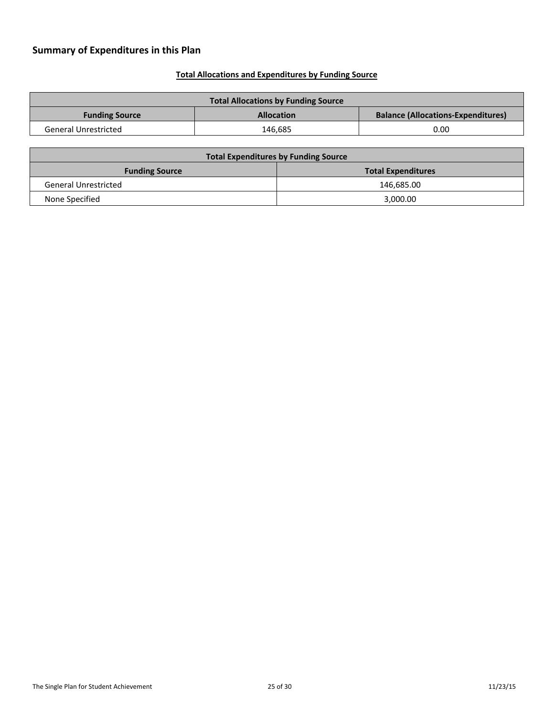## <span id="page-24-1"></span>**Total Allocations and Expenditures by Funding Source**

<span id="page-24-0"></span>

| <b>Total Allocations by Funding Source</b> |                   |                                           |  |
|--------------------------------------------|-------------------|-------------------------------------------|--|
| <b>Funding Source</b>                      | <b>Allocation</b> | <b>Balance (Allocations-Expenditures)</b> |  |
| <b>General Unrestricted</b>                | 146.685           | 0.00                                      |  |

| <b>Total Expenditures by Funding Source</b> |                           |  |  |
|---------------------------------------------|---------------------------|--|--|
| <b>Funding Source</b>                       | <b>Total Expenditures</b> |  |  |
| <b>General Unrestricted</b>                 | 146,685.00                |  |  |
| None Specified                              | 3.000.00                  |  |  |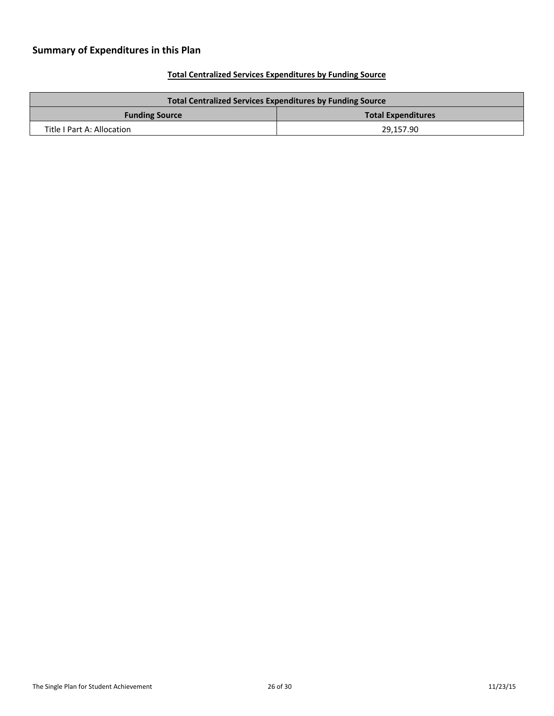## <span id="page-25-0"></span>**Total Centralized Services Expenditures by Funding Source**

| <b>Total Centralized Services Expenditures by Funding Source</b> |           |  |  |
|------------------------------------------------------------------|-----------|--|--|
| <b>Total Expenditures</b><br><b>Funding Source</b>               |           |  |  |
| Title I Part A: Allocation                                       | 29,157.90 |  |  |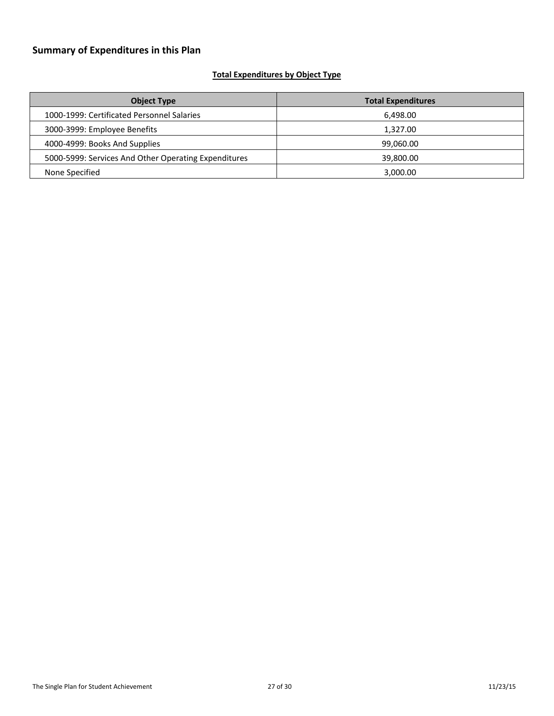## <span id="page-26-0"></span>**Total Expenditures by Object Type**

| <b>Object Type</b>                                   | <b>Total Expenditures</b> |
|------------------------------------------------------|---------------------------|
| 1000-1999: Certificated Personnel Salaries           | 6,498.00                  |
| 3000-3999: Employee Benefits                         | 1,327.00                  |
| 4000-4999: Books And Supplies                        | 99,060.00                 |
| 5000-5999: Services And Other Operating Expenditures | 39,800.00                 |
| None Specified                                       | 3,000.00                  |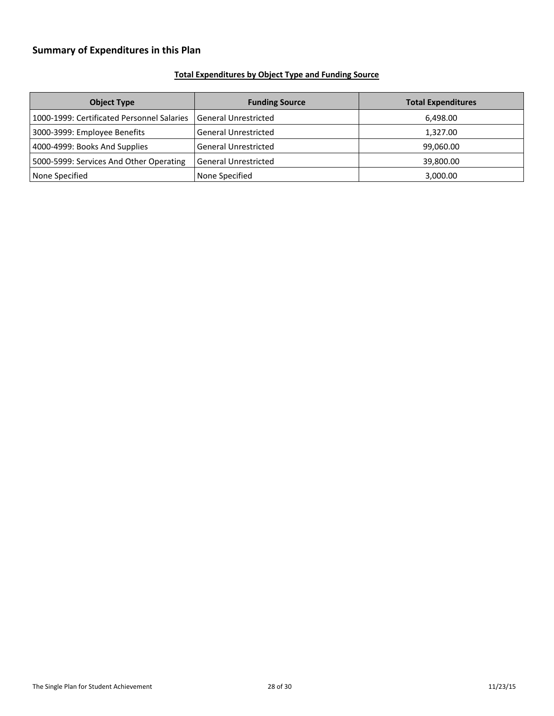## <span id="page-27-0"></span>**Total Expenditures by Object Type and Funding Source**

| <b>Object Type</b>                         | <b>Funding Source</b>       | <b>Total Expenditures</b> |
|--------------------------------------------|-----------------------------|---------------------------|
| 1000-1999: Certificated Personnel Salaries | General Unrestricted        | 6,498.00                  |
| 3000-3999: Employee Benefits               | <b>General Unrestricted</b> | 1,327.00                  |
| 4000-4999: Books And Supplies              | <b>General Unrestricted</b> | 99,060.00                 |
| 5000-5999: Services And Other Operating    | l General Unrestricted      | 39,800.00                 |
| None Specified                             | None Specified              | 3,000.00                  |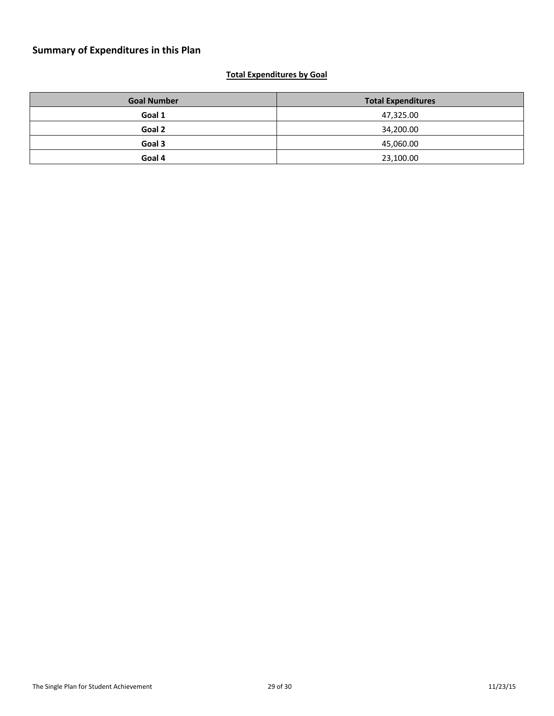## <span id="page-28-0"></span>**Total Expenditures by Goal**

| <b>Goal Number</b> | <b>Total Expenditures</b> |
|--------------------|---------------------------|
| Goal 1             | 47,325.00                 |
| Goal 2             | 34,200.00                 |
| Goal 3             | 45,060.00                 |
| Goal 4             | 23,100.00                 |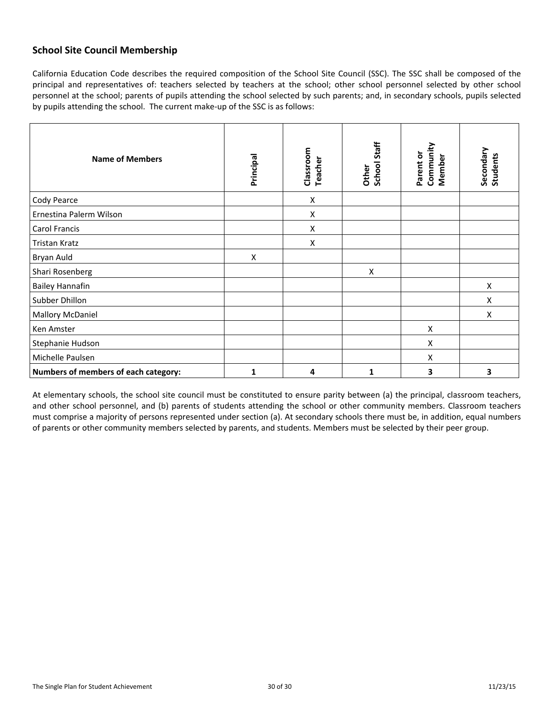## <span id="page-29-0"></span>**School Site Council Membership**

California Education Code describes the required composition of the School Site Council (SSC). The SSC shall be composed of the principal and representatives of: teachers selected by teachers at the school; other school personnel selected by other school personnel at the school; parents of pupils attending the school selected by such parents; and, in secondary schools, pupils selected by pupils attending the school. The current make-up of the SSC is as follows:

| <b>Name of Members</b>               | Principal | Classroom<br>Teacher | Staff<br>Other<br>School | Community<br>Parent or<br>Member | Secondary<br><b>Students</b> |
|--------------------------------------|-----------|----------------------|--------------------------|----------------------------------|------------------------------|
| Cody Pearce                          |           | X                    |                          |                                  |                              |
| Ernestina Palerm Wilson              |           | X                    |                          |                                  |                              |
| Carol Francis                        |           | X                    |                          |                                  |                              |
| Tristan Kratz                        |           | X                    |                          |                                  |                              |
| Bryan Auld                           | X         |                      |                          |                                  |                              |
| Shari Rosenberg                      |           |                      | X                        |                                  |                              |
| <b>Bailey Hannafin</b>               |           |                      |                          |                                  | X                            |
| Subber Dhillon                       |           |                      |                          |                                  | X                            |
| <b>Mallory McDaniel</b>              |           |                      |                          |                                  | X                            |
| Ken Amster                           |           |                      |                          | X                                |                              |
| Stephanie Hudson                     |           |                      |                          | X                                |                              |
| Michelle Paulsen                     |           |                      |                          | X                                |                              |
| Numbers of members of each category: | 1         | 4                    | 1                        | 3                                | 3                            |

At elementary schools, the school site council must be constituted to ensure parity between (a) the principal, classroom teachers, and other school personnel, and (b) parents of students attending the school or other community members. Classroom teachers must comprise a majority of persons represented under section (a). At secondary schools there must be, in addition, equal numbers of parents or other community members selected by parents, and students. Members must be selected by their peer group.